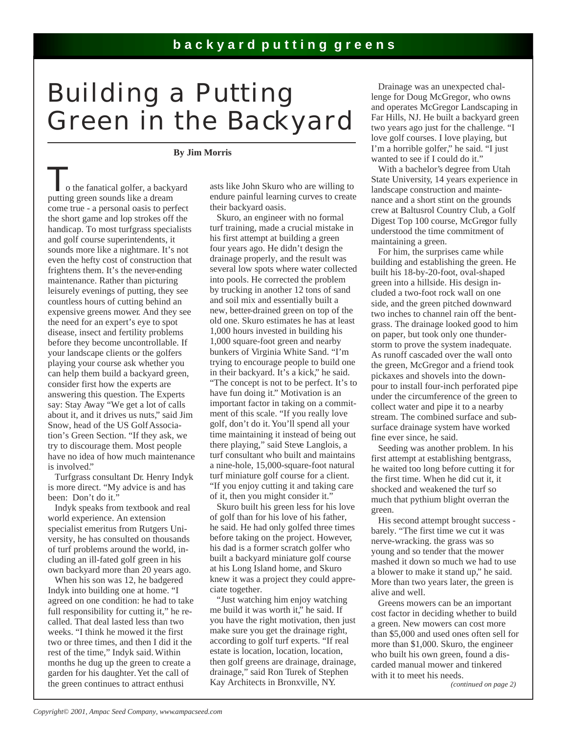## **backyard putting greens**

## Building a Putting Green in the Backyard

## **By Jim Morris**

o the fanatical golfer, a backyard putting green sounds like a dream come true - a personal oasis to perfect the short game and lop strokes off the handicap. To most turfgrass specialists and golf course superintendents, it sounds more like a nightmare. It's not even the hefty cost of construction that frightens them. It's the never-ending maintenance. Rather than picturing leisurely evenings of putting, they see countless hours of cutting behind an expensive greens mower. And they see the need for an expert's eye to spot disease, insect and fertility problems before they become uncontrollable. If your landscape clients or the golfers playing your course ask whether you can help them build a backyard green, consider first how the experts are answering this question. The Experts say: Stay Away "We get a lot of calls about it, and it drives us nuts," said Jim Snow, head of the US Golf Association's Green Section. "If they ask, we try to discourage them. Most people have no idea of how much maintenance is involved."

 Turfgrass consultant Dr. Henry Indyk is more direct. "My advice is and has been: Don't do it.'

 Indyk speaks from textbook and real world experience. An extension specialist emeritus from Rutgers University, he has consulted on thousands of turf problems around the world, including an ill-fated golf green in his own backyard more than 20 years ago.

 When his son was 12, he badgered Indyk into building one at home. "I agreed on one condition: he had to take full responsibility for cutting it," he recalled. That deal lasted less than two weeks. "I think he mowed it the first two or three times, and then I did it the rest of the time," Indyk said. Within months he dug up the green to create a garden for his daughter. Yet the call of the green continues to attract enthusi

asts like John Skuro who are willing to endure painful learning curves to create their backyard oasis.

 Skuro, an engineer with no formal turf training, made a crucial mistake in his first attempt at building a green four years ago. He didn't design the drainage properly, and the result was several low spots where water collected into pools. He corrected the problem by trucking in another 12 tons of sand and soil mix and essentially built a new, better-drained green on top of the old one. Skuro estimates he has at least 1,000 hours invested in building his 1,000 square-foot green and nearby bunkers of Virginia White Sand. "I'm trying to encourage people to build one in their backyard. It's a kick," he said. "The concept is not to be perfect. It's to have fun doing it." Motivation is an important factor in taking on a commitment of this scale. "If you really love golf, don't do it. You'll spend all your time maintaining it instead of being out there playing," said Steve Langlois, a turf consultant who built and maintains a nine-hole, 15,000-square-foot natural turf miniature golf course for a client. "If you enjoy cutting it and taking care of it, then you might consider it."

 Skuro built his green less for his love of golf than for his love of his father, he said. He had only golfed three times before taking on the project. However, his dad is a former scratch golfer who built a backyard miniature golf course at his Long Island home, and Skuro knew it was a project they could appreciate together.

 "Just watching him enjoy watching me build it was worth it," he said. If you have the right motivation, then just make sure you get the drainage right, according to golf turf experts. "If real estate is location, location, location, then golf greens are drainage, drainage, drainage," said Ron Turek of Stephen Kay Architects in Bronxville, NY.

 Drainage was an unexpected challenge for Doug McGregor, who owns and operates McGregor Landscaping in Far Hills, NJ. He built a backyard green two years ago just for the challenge. "I love golf courses. I love playing, but I'm a horrible golfer," he said. "I just wanted to see if I could do it."

 With a bachelor's degree from Utah State University, 14 years experience in landscape construction and maintenance and a short stint on the grounds crew at Baltusrol Country Club, a Golf Digest Top 100 course, McGregor fully understood the time commitment of maintaining a green.

 For him, the surprises came while building and establishing the green. He built his 18-by-20-foot, oval-shaped green into a hillside. His design included a two-foot rock wall on one side, and the green pitched downward two inches to channel rain off the bentgrass. The drainage looked good to him on paper, but took only one thunderstorm to prove the system inadequate. As runoff cascaded over the wall onto the green, McGregor and a friend took pickaxes and shovels into the downpour to install four-inch perforated pipe under the circumference of the green to collect water and pipe it to a nearby stream. The combined surface and subsurface drainage system have worked fine ever since, he said.

 Seeding was another problem. In his first attempt at establishing bentgrass, he waited too long before cutting it for the first time. When he did cut it, it shocked and weakened the turf so much that pythium blight overran the green.

 His second attempt brought success barely. "The first time we cut it was nerve-wracking. the grass was so young and so tender that the mower mashed it down so much we had to use a blower to make it stand up," he said. More than two years later, the green is alive and well.

 Greens mowers can be an important cost factor in deciding whether to build a green. New mowers can cost more than \$5,000 and used ones often sell for more than \$1,000. Skuro, the engineer who built his own green, found a discarded manual mower and tinkered with it to meet his needs.

 *(continued on page 2)*